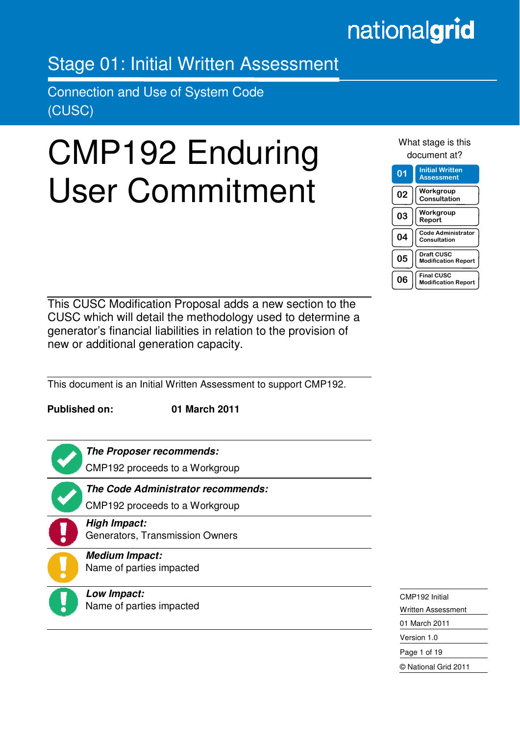# nationalgrid

# Stage 01: Initial Written Assessment

Connection and Use of System Code (CUSC)

# CMP192 Enduring User Commitment

What stage is this document at?

| 01 | <b>Initial Written</b><br><b>Assessment</b>     |
|----|-------------------------------------------------|
| 02 | Workgroup<br>Consultation                       |
| 03 | Workgroup<br>Report                             |
| 04 | <b>Code Administrator</b><br>Consultation       |
| 05 | <b>Draft CUSC</b><br><b>Modification Report</b> |
| 06 | <b>Final CUSC</b><br><b>Modification Report</b> |

This CUSC Modification Proposal adds a new section to the CUSC which will detail the methodology used to determine a generator's financial liabilities in relation to the provision of new or additional generation capacity.

This document is an Initial Written Assessment to support CMP192.

**Published on: 01 March 2011** 



Ξ

**The Proposer recommends:** 

CMP192 proceeds to a Workgroup



**The Code Administrator recommends:** 

CMP192 proceeds to a Workgroup

# **High Impact:**

Generators, Transmission Owners



**Medium Impact:**  Name of parties impacted



**Low Impact:**  Name of parties impacted CMP192 Initial Written Assessment 01 March 2011 Version 1.0 Page 1 of 19 © National Grid 2011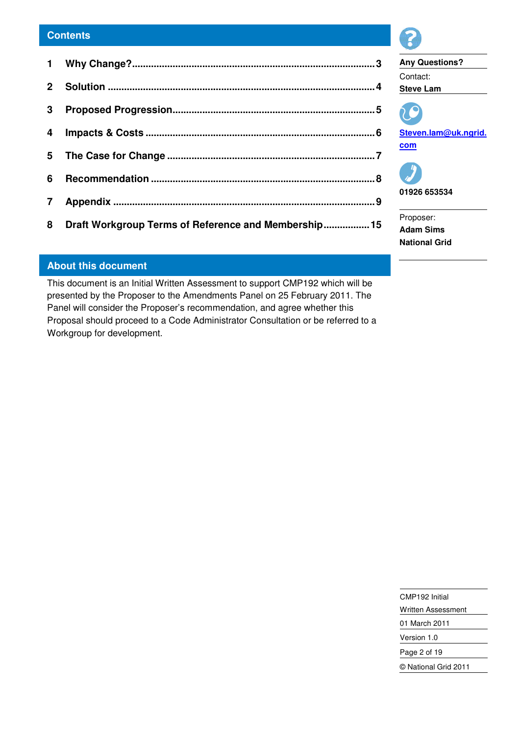# **Contents**

| 4                       |                                                        |  |
|-------------------------|--------------------------------------------------------|--|
|                         |                                                        |  |
|                         |                                                        |  |
| $\overline{\mathbf{7}}$ |                                                        |  |
|                         | 8 Draft Workgroup Terms of Reference and Membership 15 |  |
|                         |                                                        |  |

# **Any Questions?**  Contact: **Steve Lam Steven.lam@uk.ngrid. com 01926 653534**  Proposer: **Adam Sims**

**National Grid** 

# **About this document**

This document is an Initial Written Assessment to support CMP192 which will be presented by the Proposer to the Amendments Panel on 25 February 2011. The Panel will consider the Proposer's recommendation, and agree whether this Proposal should proceed to a Code Administrator Consultation or be referred to a Workgroup for development.

> CMP192 Initial Written Assessment 01 March 2011 Version 1.0 Page 2 of 19 © National Grid 2011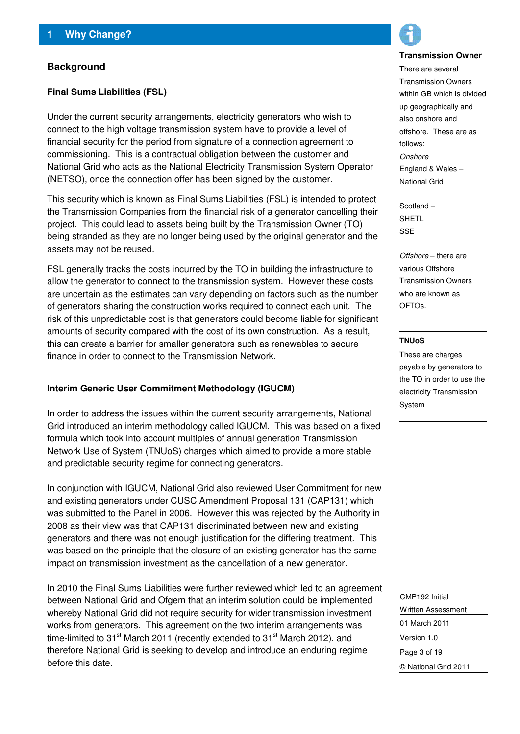# **Background**

### **Final Sums Liabilities (FSL)**

Under the current security arrangements, electricity generators who wish to connect to the high voltage transmission system have to provide a level of financial security for the period from signature of a connection agreement to commissioning. This is a contractual obligation between the customer and National Grid who acts as the National Electricity Transmission System Operator (NETSO), once the connection offer has been signed by the customer.

This security which is known as Final Sums Liabilities (FSL) is intended to protect the Transmission Companies from the financial risk of a generator cancelling their project. This could lead to assets being built by the Transmission Owner (TO) being stranded as they are no longer being used by the original generator and the assets may not be reused.

FSL generally tracks the costs incurred by the TO in building the infrastructure to allow the generator to connect to the transmission system. However these costs are uncertain as the estimates can vary depending on factors such as the number of generators sharing the construction works required to connect each unit. The risk of this unpredictable cost is that generators could become liable for significant amounts of security compared with the cost of its own construction. As a result, this can create a barrier for smaller generators such as renewables to secure finance in order to connect to the Transmission Network.

#### **Interim Generic User Commitment Methodology (IGUCM)**

In order to address the issues within the current security arrangements, National Grid introduced an interim methodology called IGUCM. This was based on a fixed formula which took into account multiples of annual generation Transmission Network Use of System (TNUoS) charges which aimed to provide a more stable and predictable security regime for connecting generators.

In conjunction with IGUCM, National Grid also reviewed User Commitment for new and existing generators under CUSC Amendment Proposal 131 (CAP131) which was submitted to the Panel in 2006. However this was rejected by the Authority in 2008 as their view was that CAP131 discriminated between new and existing generators and there was not enough justification for the differing treatment. This was based on the principle that the closure of an existing generator has the same impact on transmission investment as the cancellation of a new generator.

In 2010 the Final Sums Liabilities were further reviewed which led to an agreement between National Grid and Ofgem that an interim solution could be implemented whereby National Grid did not require security for wider transmission investment works from generators. This agreement on the two interim arrangements was time-limited to 31 $\mathrm{^{st}}$  March 2011 (recently extended to 31 $\mathrm{^{st}}$  March 2012), and therefore National Grid is seeking to develop and introduce an enduring regime before this date.



#### **Transmission Owner**

There are several Transmission Owners within GB which is divided up geographically and also onshore and offshore. These are as follows: **Onshore** England & Wales – National Grid

Scotland – SHETL SSE

Offshore – there are various Offshore Transmission Owners who are known as OFTOs.

#### **TNUoS**

These are charges payable by generators to the TO in order to use the electricity Transmission System

CMP192 Initial Written Assessment 01 March 2011 Version 1.0 Page 3 of 19 © National Grid 2011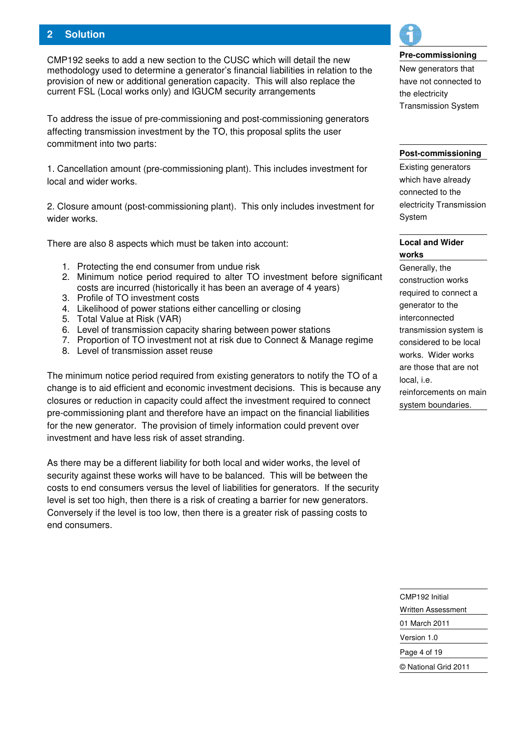# **2 Solution**

CMP192 seeks to add a new section to the CUSC which will detail the new methodology used to determine a generator's financial liabilities in relation to the provision of new or additional generation capacity. This will also replace the current FSL (Local works only) and IGUCM security arrangements

To address the issue of pre-commissioning and post-commissioning generators affecting transmission investment by the TO, this proposal splits the user commitment into two parts:

1. Cancellation amount (pre-commissioning plant). This includes investment for local and wider works.

2. Closure amount (post-commissioning plant). This only includes investment for wider works.

There are also 8 aspects which must be taken into account:

- 1. Protecting the end consumer from undue risk
- 2. Minimum notice period required to alter TO investment before significant costs are incurred (historically it has been an average of 4 years)
- 3. Profile of TO investment costs
- 4. Likelihood of power stations either cancelling or closing
- 5. Total Value at Risk (VAR)
- 6. Level of transmission capacity sharing between power stations
- 7. Proportion of TO investment not at risk due to Connect & Manage regime
- 8. Level of transmission asset reuse

The minimum notice period required from existing generators to notify the TO of a change is to aid efficient and economic investment decisions. This is because any closures or reduction in capacity could affect the investment required to connect pre-commissioning plant and therefore have an impact on the financial liabilities for the new generator. The provision of timely information could prevent over investment and have less risk of asset stranding.

As there may be a different liability for both local and wider works, the level of security against these works will have to be balanced. This will be between the costs to end consumers versus the level of liabilities for generators. If the security level is set too high, then there is a risk of creating a barrier for new generators. Conversely if the level is too low, then there is a greater risk of passing costs to end consumers.



#### **Pre-commissioning**

New generators that have not connected to the electricity Transmission System

#### **Post-commissioning**

Existing generators which have already connected to the electricity Transmission System

### **Local and Wider works**

Generally, the construction works required to connect a generator to the interconnected transmission system is considered to be local works. Wider works are those that are not local, i.e. reinforcements on main system boundaries.

CMP192 Initial Written Assessment 01 March 2011 Version 1.0 Page 4 of 19 © National Grid 2011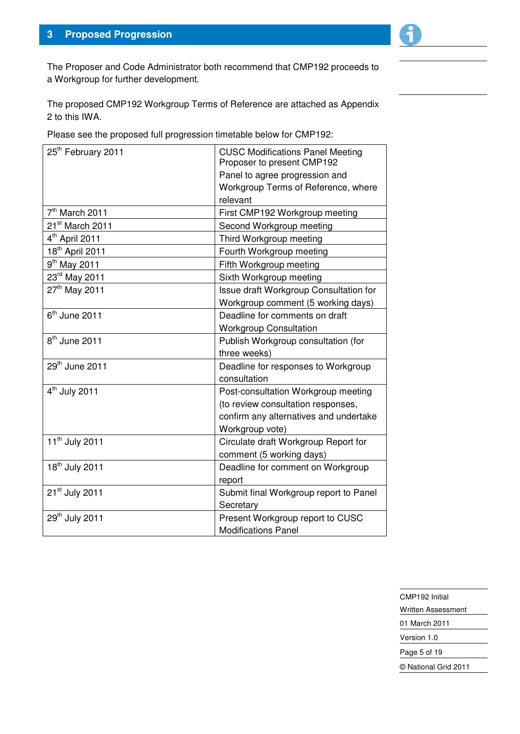

The Proposer and Code Administrator both recommend that CMP192 proceeds to a Workgroup for further development.

The proposed CMP192 Workgroup Terms of Reference are attached as Appendix 2 to this IWA.

Please see the proposed full progression timetable below for CMP192:

| 25 <sup>th</sup> February 2011 | <b>CUSC Modifications Panel Meeting</b><br>Proposer to present CMP192 |
|--------------------------------|-----------------------------------------------------------------------|
|                                | Panel to agree progression and                                        |
|                                | Workgroup Terms of Reference, where                                   |
|                                | relevant                                                              |
| 7 <sup>th</sup> March 2011     | First CMP192 Workgroup meeting                                        |
| 21 <sup>st</sup> March 2011    | Second Workgroup meeting                                              |
| 4 <sup>th</sup> April 2011     | Third Workgroup meeting                                               |
| 18 <sup>th</sup> April 2011    | Fourth Workgroup meeting                                              |
| 9 <sup>th</sup> May 2011       | Fifth Workgroup meeting                                               |
| 23rd May 2011                  | Sixth Workgroup meeting                                               |
| 27th May 2011                  | Issue draft Workgroup Consultation for                                |
|                                | Workgroup comment (5 working days)                                    |
| $6th$ June 2011                | Deadline for comments on draft                                        |
|                                | <b>Workgroup Consultation</b>                                         |
| $8th$ June 2011                | Publish Workgroup consultation (for                                   |
|                                | three weeks)                                                          |
| 29th June 2011                 | Deadline for responses to Workgroup                                   |
|                                | consultation                                                          |
| $4th$ July 2011                | Post-consultation Workgroup meeting                                   |
|                                | (to review consultation responses,                                    |
|                                | confirm any alternatives and undertake                                |
|                                | Workgroup vote)                                                       |
| 11 <sup>th</sup> July 2011     | Circulate draft Workgroup Report for                                  |
|                                | comment (5 working days)                                              |
| 18 <sup>th</sup> July 2011     | Deadline for comment on Workgroup                                     |
|                                | report                                                                |
| 21 <sup>st</sup> July 2011     | Submit final Workgroup report to Panel                                |
|                                | Secretary                                                             |
| 29 <sup>th</sup> July 2011     | Present Workgroup report to CUSC                                      |
|                                | <b>Modifications Panel</b>                                            |

CMP192 Initial Written Assessment 01 March 2011 Version 1.0 Page 5 of 19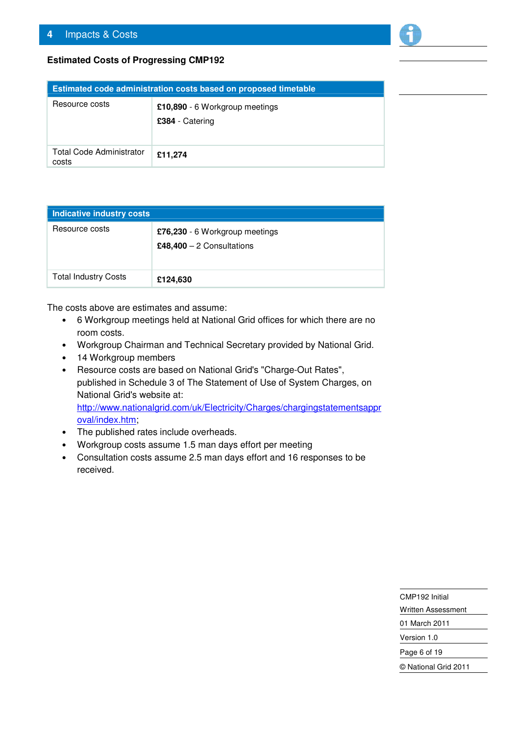

# **Estimated Costs of Progressing CMP192**

| Estimated code administration costs based on proposed timetable |                                                   |  |
|-----------------------------------------------------------------|---------------------------------------------------|--|
| Resource costs                                                  | £10,890 - 6 Workgroup meetings<br>£384 - Catering |  |
| <b>Total Code Administrator</b><br>costs                        | £11,274                                           |  |

| Indicative industry costs   |                                                              |  |
|-----------------------------|--------------------------------------------------------------|--|
| Resource costs              | £76,230 - 6 Workgroup meetings<br>£48,400 $-2$ Consultations |  |
| <b>Total Industry Costs</b> | £124,630                                                     |  |

The costs above are estimates and assume:

- 6 Workgroup meetings held at National Grid offices for which there are no room costs.
- Workgroup Chairman and Technical Secretary provided by National Grid.
- 14 Workgroup members
- Resource costs are based on National Grid's "Charge-Out Rates", published in Schedule 3 of The Statement of Use of System Charges, on National Grid's website at: http://www.nationalgrid.com/uk/Electricity/Charges/chargingstatementsappr oval/index.htm;
- The published rates include overheads.
- Workgroup costs assume 1.5 man days effort per meeting
- Consultation costs assume 2.5 man days effort and 16 responses to be received.

CMP192 Initial

Written Assessment 01 March 2011

Version 1.0

Page 6 of 19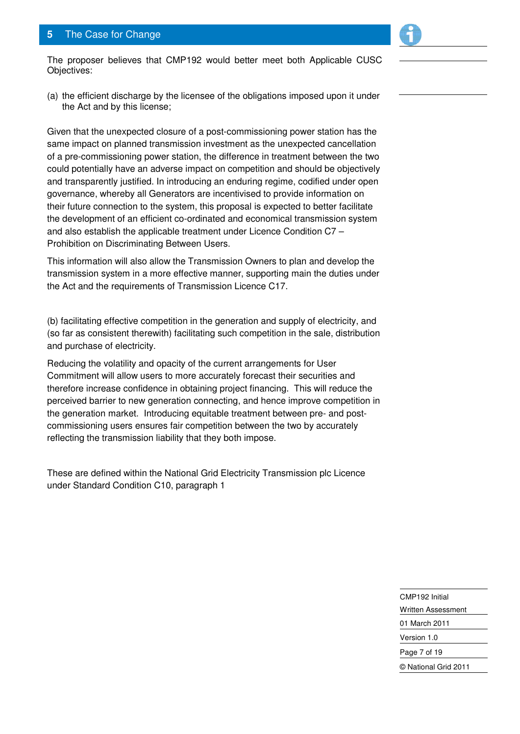# **5** The Case for Change



(a) the efficient discharge by the licensee of the obligations imposed upon it under the Act and by this license;

Given that the unexpected closure of a post-commissioning power station has the same impact on planned transmission investment as the unexpected cancellation of a pre-commissioning power station, the difference in treatment between the two could potentially have an adverse impact on competition and should be objectively and transparently justified. In introducing an enduring regime, codified under open governance, whereby all Generators are incentivised to provide information on their future connection to the system, this proposal is expected to better facilitate the development of an efficient co-ordinated and economical transmission system and also establish the applicable treatment under Licence Condition C7 – Prohibition on Discriminating Between Users.

This information will also allow the Transmission Owners to plan and develop the transmission system in a more effective manner, supporting main the duties under the Act and the requirements of Transmission Licence C17.

(b) facilitating effective competition in the generation and supply of electricity, and (so far as consistent therewith) facilitating such competition in the sale, distribution and purchase of electricity.

Reducing the volatility and opacity of the current arrangements for User Commitment will allow users to more accurately forecast their securities and therefore increase confidence in obtaining project financing. This will reduce the perceived barrier to new generation connecting, and hence improve competition in the generation market. Introducing equitable treatment between pre- and postcommissioning users ensures fair competition between the two by accurately reflecting the transmission liability that they both impose.

These are defined within the National Grid Electricity Transmission plc Licence under Standard Condition C10, paragraph 1

> CMP192 Initial Written Assessment 01 March 2011 Version 1.0 Page 7 of 19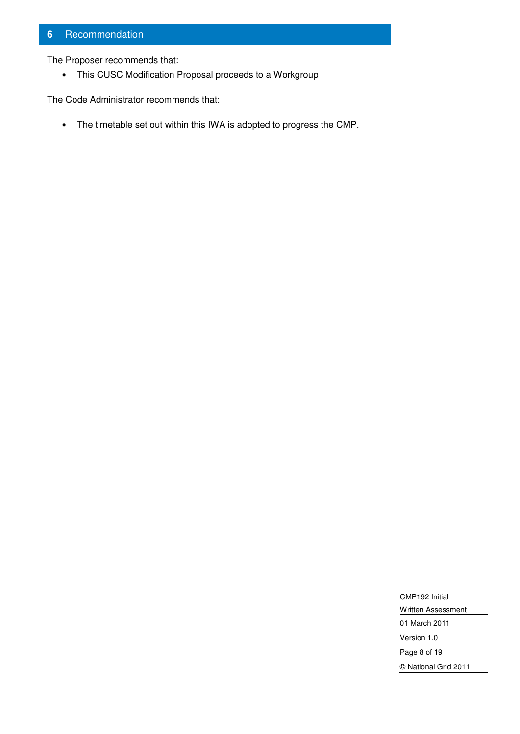# **6** Recommendation

The Proposer recommends that:

• This CUSC Modification Proposal proceeds to a Workgroup

The Code Administrator recommends that:

• The timetable set out within this IWA is adopted to progress the CMP.

CMP192 Initial Written Assessment 01 March 2011

Version 1.0

Page 8 of 19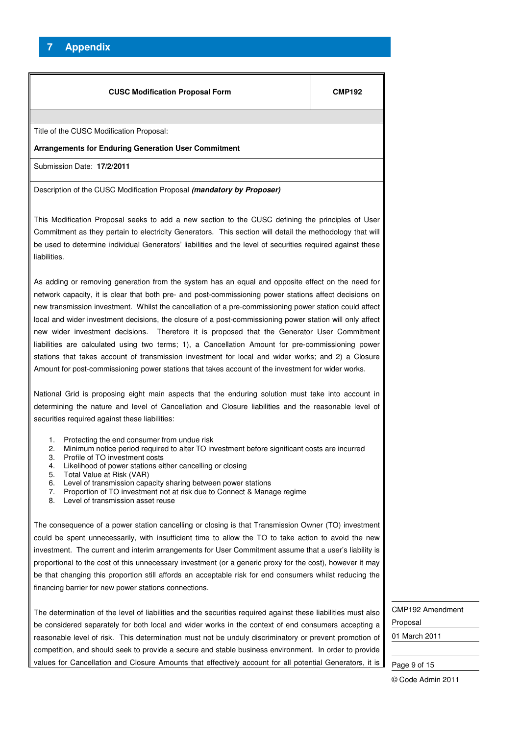# **7 Appendix**

| <b>CUSC Modification Proposal Form</b>                                                                                                                                                                                                                                                                                                                                                                                                                                                                                                                                                                                                                                                                                                                                                                                                            | <b>CMP192</b> |  |
|---------------------------------------------------------------------------------------------------------------------------------------------------------------------------------------------------------------------------------------------------------------------------------------------------------------------------------------------------------------------------------------------------------------------------------------------------------------------------------------------------------------------------------------------------------------------------------------------------------------------------------------------------------------------------------------------------------------------------------------------------------------------------------------------------------------------------------------------------|---------------|--|
| Title of the CUSC Modification Proposal:                                                                                                                                                                                                                                                                                                                                                                                                                                                                                                                                                                                                                                                                                                                                                                                                          |               |  |
| <b>Arrangements for Enduring Generation User Commitment</b>                                                                                                                                                                                                                                                                                                                                                                                                                                                                                                                                                                                                                                                                                                                                                                                       |               |  |
| Submission Date: 17/2/2011                                                                                                                                                                                                                                                                                                                                                                                                                                                                                                                                                                                                                                                                                                                                                                                                                        |               |  |
| Description of the CUSC Modification Proposal (mandatory by Proposer)                                                                                                                                                                                                                                                                                                                                                                                                                                                                                                                                                                                                                                                                                                                                                                             |               |  |
| This Modification Proposal seeks to add a new section to the CUSC defining the principles of User<br>Commitment as they pertain to electricity Generators. This section will detail the methodology that will<br>be used to determine individual Generators' liabilities and the level of securities required against these<br>liabilities.                                                                                                                                                                                                                                                                                                                                                                                                                                                                                                       |               |  |
| As adding or removing generation from the system has an equal and opposite effect on the need for<br>network capacity, it is clear that both pre- and post-commissioning power stations affect decisions on<br>new transmission investment. Whilst the cancellation of a pre-commissioning power station could affect<br>local and wider investment decisions, the closure of a post-commissioning power station will only affect<br>new wider investment decisions. Therefore it is proposed that the Generator User Commitment<br>liabilities are calculated using two terms; 1), a Cancellation Amount for pre-commissioning power<br>stations that takes account of transmission investment for local and wider works; and 2) a Closure<br>Amount for post-commissioning power stations that takes account of the investment for wider works. |               |  |
| National Grid is proposing eight main aspects that the enduring solution must take into account in<br>determining the nature and level of Cancellation and Closure liabilities and the reasonable level of<br>securities required against these liabilities:                                                                                                                                                                                                                                                                                                                                                                                                                                                                                                                                                                                      |               |  |
| Protecting the end consumer from undue risk<br>1.<br>Minimum notice period required to alter TO investment before significant costs are incurred<br>2.<br>3.<br>Profile of TO investment costs<br>Likelihood of power stations either cancelling or closing<br>4.<br>Total Value at Risk (VAR)<br>5.<br>6.<br>Level of transmission capacity sharing between power stations<br>7.<br>Proportion of TO investment not at risk due to Connect & Manage regime<br>Level of transmission asset reuse<br>8.                                                                                                                                                                                                                                                                                                                                            |               |  |
| The consequence of a power station cancelling or closing is that Transmission Owner (TO) investment<br>could be spent unnecessarily, with insufficient time to allow the TO to take action to avoid the new<br>investment. The current and interim arrangements for User Commitment assume that a user's liability is<br>proportional to the cost of this unnecessary investment (or a generic proxy for the cost), however it may<br>be that changing this proportion still affords an acceptable risk for end consumers whilst reducing the<br>financing barrier for new power stations connections.                                                                                                                                                                                                                                            |               |  |
| The determination of the level of liabilities and the securities required against these liabilities must also                                                                                                                                                                                                                                                                                                                                                                                                                                                                                                                                                                                                                                                                                                                                     |               |  |

be considered separately for both local and wider works in the context of end consumers accepting a reasonable level of risk. This determination must not be unduly discriminatory or prevent promotion of competition, and should seek to provide a secure and stable business environment. In order to provide values for Cancellation and Closure Amounts that effectively account for all potential Generators, it is

CMP192 Amendment Proposal 01 March 2011

Page 9 of 15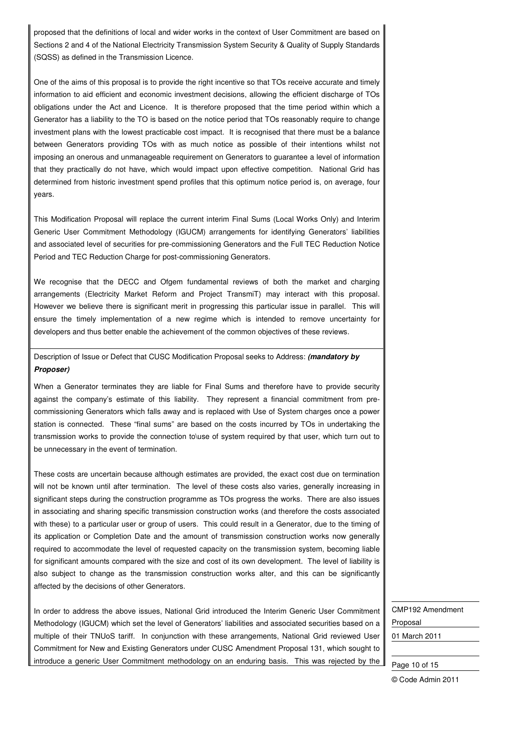proposed that the definitions of local and wider works in the context of User Commitment are based on Sections 2 and 4 of the National Electricity Transmission System Security & Quality of Supply Standards (SQSS) as defined in the Transmission Licence.

One of the aims of this proposal is to provide the right incentive so that TOs receive accurate and timely information to aid efficient and economic investment decisions, allowing the efficient discharge of TOs obligations under the Act and Licence. It is therefore proposed that the time period within which a Generator has a liability to the TO is based on the notice period that TOs reasonably require to change investment plans with the lowest practicable cost impact. It is recognised that there must be a balance between Generators providing TOs with as much notice as possible of their intentions whilst not imposing an onerous and unmanageable requirement on Generators to guarantee a level of information that they practically do not have, which would impact upon effective competition. National Grid has determined from historic investment spend profiles that this optimum notice period is, on average, four years.

This Modification Proposal will replace the current interim Final Sums (Local Works Only) and Interim Generic User Commitment Methodology (IGUCM) arrangements for identifying Generators' liabilities and associated level of securities for pre-commissioning Generators and the Full TEC Reduction Notice Period and TEC Reduction Charge for post-commissioning Generators.

We recognise that the DECC and Ofgem fundamental reviews of both the market and charging arrangements (Electricity Market Reform and Project TransmiT) may interact with this proposal. However we believe there is significant merit in progressing this particular issue in parallel. This will ensure the timely implementation of a new regime which is intended to remove uncertainty for developers and thus better enable the achievement of the common objectives of these reviews.

Description of Issue or Defect that CUSC Modification Proposal seeks to Address: **(mandatory by Proposer)**

When a Generator terminates they are liable for Final Sums and therefore have to provide security against the company's estimate of this liability. They represent a financial commitment from precommissioning Generators which falls away and is replaced with Use of System charges once a power station is connected. These "final sums" are based on the costs incurred by TOs in undertaking the transmission works to provide the connection to\use of system required by that user, which turn out to be unnecessary in the event of termination.

These costs are uncertain because although estimates are provided, the exact cost due on termination will not be known until after termination. The level of these costs also varies, generally increasing in significant steps during the construction programme as TOs progress the works. There are also issues in associating and sharing specific transmission construction works (and therefore the costs associated with these) to a particular user or group of users. This could result in a Generator, due to the timing of its application or Completion Date and the amount of transmission construction works now generally required to accommodate the level of requested capacity on the transmission system, becoming liable for significant amounts compared with the size and cost of its own development. The level of liability is also subject to change as the transmission construction works alter, and this can be significantly affected by the decisions of other Generators.

In order to address the above issues, National Grid introduced the Interim Generic User Commitment Methodology (IGUCM) which set the level of Generators' liabilities and associated securities based on a multiple of their TNUoS tariff. In conjunction with these arrangements, National Grid reviewed User Commitment for New and Existing Generators under CUSC Amendment Proposal 131, which sought to introduce a generic User Commitment methodology on an enduring basis. This was rejected by the CMP192 Amendment Proposal 01 March 2011

Page 10 of 15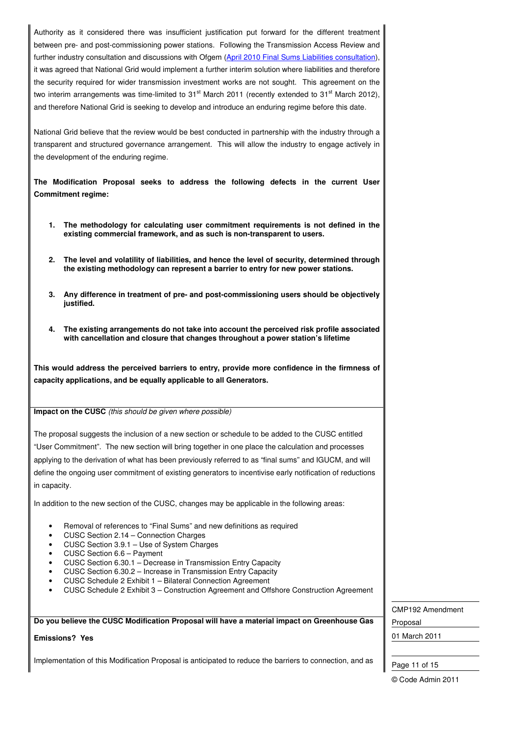Authority as it considered there was insufficient justification put forward for the different treatment between pre- and post-commissioning power stations. Following the Transmission Access Review and further industry consultation and discussions with Ofgem (April 2010 Final Sums Liabilities consultation), it was agreed that National Grid would implement a further interim solution where liabilities and therefore the security required for wider transmission investment works are not sought. This agreement on the two interim arrangements was time-limited to  $31<sup>st</sup>$  March 2011 (recently extended to  $31<sup>st</sup>$  March 2012), and therefore National Grid is seeking to develop and introduce an enduring regime before this date.

National Grid believe that the review would be best conducted in partnership with the industry through a transparent and structured governance arrangement. This will allow the industry to engage actively in the development of the enduring regime.

**The Modification Proposal seeks to address the following defects in the current User Commitment regime:** 

- **1. The methodology for calculating user commitment requirements is not defined in the existing commercial framework, and as such is non-transparent to users.**
- **2. The level and volatility of liabilities, and hence the level of security, determined through the existing methodology can represent a barrier to entry for new power stations.**
- **3. Any difference in treatment of pre- and post-commissioning users should be objectively justified.**
- **4. The existing arrangements do not take into account the perceived risk profile associated with cancellation and closure that changes throughout a power station's lifetime**

**This would address the perceived barriers to entry, provide more confidence in the firmness of capacity applications, and be equally applicable to all Generators.** 

**Impact on the CUSC** (this should be given where possible)

The proposal suggests the inclusion of a new section or schedule to be added to the CUSC entitled "User Commitment". The new section will bring together in one place the calculation and processes applying to the derivation of what has been previously referred to as "final sums" and IGUCM, and will define the ongoing user commitment of existing generators to incentivise early notification of reductions in capacity.

In addition to the new section of the CUSC, changes may be applicable in the following areas:

- Removal of references to "Final Sums" and new definitions as required
- CUSC Section 2.14 Connection Charges
- CUSC Section 3.9.1 Use of System Charges
- CUSC Section 6.6 Payment
- CUSC Section 6.30.1 Decrease in Transmission Entry Capacity
- CUSC Section 6.30.2 Increase in Transmission Entry Capacity
- CUSC Schedule 2 Exhibit 1 Bilateral Connection Agreement
- CUSC Schedule 2 Exhibit 3 Construction Agreement and Offshore Construction Agreement

#### **Do you believe the CUSC Modification Proposal will have a material impact on Greenhouse Gas**

#### **Emissions? Yes**

Implementation of this Modification Proposal is anticipated to reduce the barriers to connection, and as

CMP192 Amendment

Proposal

01 March 2011

Page 11 of 15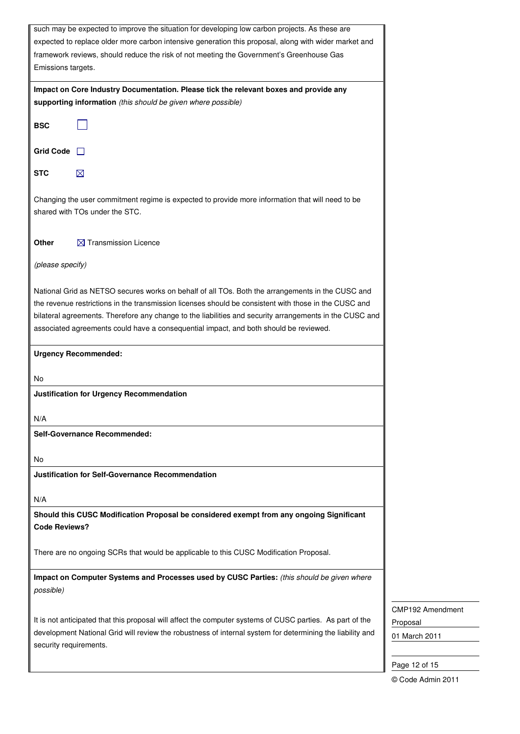| such may be expected to improve the situation for developing low carbon projects. As these are            |  |  |
|-----------------------------------------------------------------------------------------------------------|--|--|
| expected to replace older more carbon intensive generation this proposal, along with wider market and     |  |  |
| framework reviews, should reduce the risk of not meeting the Government's Greenhouse Gas                  |  |  |
| Emissions targets.                                                                                        |  |  |
|                                                                                                           |  |  |
| Impact on Core Industry Documentation. Please tick the relevant boxes and provide any                     |  |  |
| supporting information (this should be given where possible)                                              |  |  |
| <b>BSC</b>                                                                                                |  |  |
|                                                                                                           |  |  |
|                                                                                                           |  |  |
| <b>Grid Code</b>                                                                                          |  |  |
| STC<br>$\boxtimes$                                                                                        |  |  |
|                                                                                                           |  |  |
| Changing the user commitment regime is expected to provide more information that will need to be          |  |  |
| shared with TOs under the STC.                                                                            |  |  |
|                                                                                                           |  |  |
|                                                                                                           |  |  |
| Other<br>$\boxtimes$ Transmission Licence                                                                 |  |  |
|                                                                                                           |  |  |
| (please specify)                                                                                          |  |  |
|                                                                                                           |  |  |
| National Grid as NETSO secures works on behalf of all TOs. Both the arrangements in the CUSC and          |  |  |
| the revenue restrictions in the transmission licenses should be consistent with those in the CUSC and     |  |  |
| bilateral agreements. Therefore any change to the liabilities and security arrangements in the CUSC and   |  |  |
| associated agreements could have a consequential impact, and both should be reviewed.                     |  |  |
|                                                                                                           |  |  |
| <b>Urgency Recommended:</b>                                                                               |  |  |
|                                                                                                           |  |  |
| No                                                                                                        |  |  |
| <b>Justification for Urgency Recommendation</b>                                                           |  |  |
|                                                                                                           |  |  |
| N/A                                                                                                       |  |  |
| Self-Governance Recommended:                                                                              |  |  |
|                                                                                                           |  |  |
| No                                                                                                        |  |  |
|                                                                                                           |  |  |
| <b>Justification for Self-Governance Recommendation</b>                                                   |  |  |
|                                                                                                           |  |  |
| N/A                                                                                                       |  |  |
| Should this CUSC Modification Proposal be considered exempt from any ongoing Significant                  |  |  |
| <b>Code Reviews?</b>                                                                                      |  |  |
|                                                                                                           |  |  |
| There are no ongoing SCRs that would be applicable to this CUSC Modification Proposal.                    |  |  |
|                                                                                                           |  |  |
| Impact on Computer Systems and Processes used by CUSC Parties: (this should be given where                |  |  |
| possible)                                                                                                 |  |  |
|                                                                                                           |  |  |
| It is not anticipated that this proposal will affect the computer systems of CUSC parties. As part of the |  |  |
| development National Grid will review the robustness of internal system for determining the liability and |  |  |
| security requirements.                                                                                    |  |  |
|                                                                                                           |  |  |
|                                                                                                           |  |  |

CMP192 Amendment

Proposal

01 March 2011

Page 12 of 15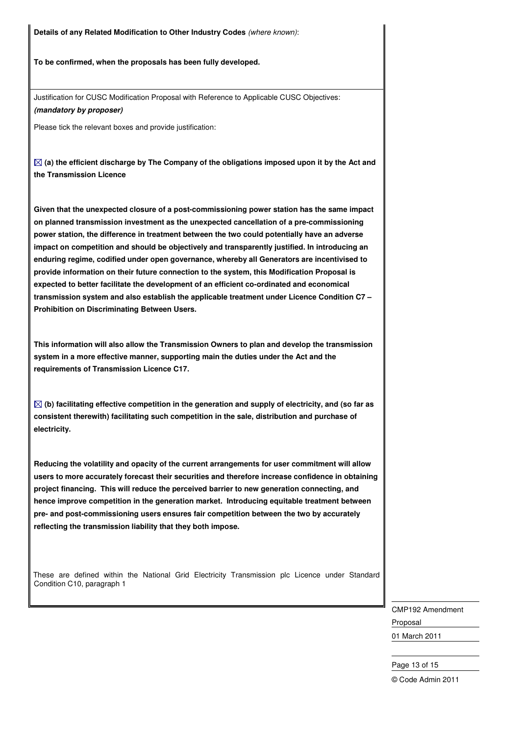**Details of any Related Modification to Other Industry Codes** (where known):

**To be confirmed, when the proposals has been fully developed.** 

Justification for CUSC Modification Proposal with Reference to Applicable CUSC Objectives: **(mandatory by proposer)**

Please tick the relevant boxes and provide justification:

 $\boxtimes$  (a) the efficient discharge by The Company of the obligations imposed upon it by the Act and **the Transmission Licence** 

**Given that the unexpected closure of a post-commissioning power station has the same impact on planned transmission investment as the unexpected cancellation of a pre-commissioning power station, the difference in treatment between the two could potentially have an adverse impact on competition and should be objectively and transparently justified. In introducing an enduring regime, codified under open governance, whereby all Generators are incentivised to provide information on their future connection to the system, this Modification Proposal is expected to better facilitate the development of an efficient co-ordinated and economical transmission system and also establish the applicable treatment under Licence Condition C7 – Prohibition on Discriminating Between Users.** 

**This information will also allow the Transmission Owners to plan and develop the transmission system in a more effective manner, supporting main the duties under the Act and the requirements of Transmission Licence C17.** 

 $\boxtimes$  (b) facilitating effective competition in the generation and supply of electricity, and (so far as **consistent therewith) facilitating such competition in the sale, distribution and purchase of electricity.** 

**Reducing the volatility and opacity of the current arrangements for user commitment will allow users to more accurately forecast their securities and therefore increase confidence in obtaining project financing. This will reduce the perceived barrier to new generation connecting, and hence improve competition in the generation market. Introducing equitable treatment between pre- and post-commissioning users ensures fair competition between the two by accurately reflecting the transmission liability that they both impose.**

 These are defined within the National Grid Electricity Transmission plc Licence under Standard Condition C10, paragraph 1

> CMP192 Amendment Proposal 01 March 2011

#### Page 13 of 15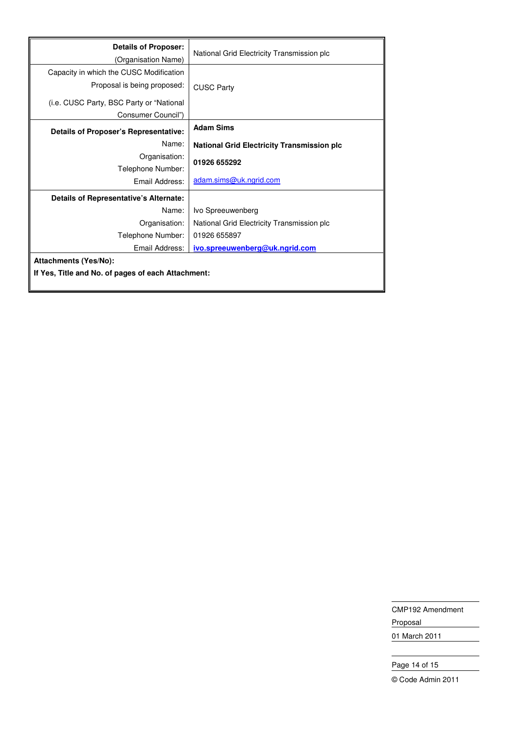| <b>Details of Proposer:</b><br>(Organisation Name) | National Grid Electricity Transmission plc        |  |
|----------------------------------------------------|---------------------------------------------------|--|
| Capacity in which the CUSC Modification            |                                                   |  |
| Proposal is being proposed:                        | <b>CUSC Party</b>                                 |  |
| (i.e. CUSC Party, BSC Party or "National           |                                                   |  |
| Consumer Council")                                 |                                                   |  |
| <b>Details of Proposer's Representative:</b>       | <b>Adam Sims</b>                                  |  |
| Name:                                              | <b>National Grid Electricity Transmission plc</b> |  |
| Organisation:                                      | 01926 655292                                      |  |
| Telephone Number:                                  |                                                   |  |
| Email Address:                                     | adam.sims@uk.ngrid.com                            |  |
| Details of Representative's Alternate:             |                                                   |  |
| Name:                                              | Ivo Spreeuwenberg                                 |  |
| Organisation:                                      | National Grid Electricity Transmission plc        |  |
| Telephone Number:                                  | 01926 655897                                      |  |
| Email Address:                                     | ivo.spreeuwenberg@uk.ngrid.com                    |  |
| <b>Attachments (Yes/No):</b>                       |                                                   |  |
| If Yes, Title and No. of pages of each Attachment: |                                                   |  |

CMP192 Amendment Proposal

01 March 2011

# Page 14 of 15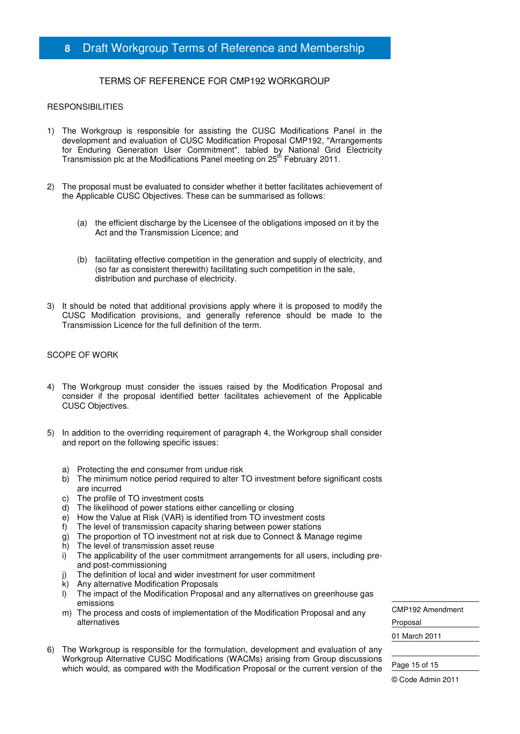# **8** Draft Workgroup Terms of Reference and Membership

## TERMS OF REFERENCE FOR CMP192 WORKGROUP

#### **RESPONSIBILITIES**

- 1) The Workgroup is responsible for assisting the CUSC Modifications Panel in the development and evaluation of CUSC Modification Proposal CMP192, "Arrangements for Enduring Generation User Commitment", tabled by National Grid Electricity Transmission plc at the Modifications Panel meeting on 25<sup>th</sup> February 2011.
- 2) The proposal must be evaluated to consider whether it better facilitates achievement of the Applicable CUSC Objectives. These can be summarised as follows:
	- (a) the efficient discharge by the Licensee of the obligations imposed on it by the Act and the Transmission Licence; and
	- (b) facilitating effective competition in the generation and supply of electricity, and (so far as consistent therewith) facilitating such competition in the sale, distribution and purchase of electricity.
- 3) It should be noted that additional provisions apply where it is proposed to modify the CUSC Modification provisions, and generally reference should be made to the Transmission Licence for the full definition of the term.

#### SCOPE OF WORK

- 4) The Workgroup must consider the issues raised by the Modification Proposal and consider if the proposal identified better facilitates achievement of the Applicable CUSC Objectives.
- 5) In addition to the overriding requirement of paragraph 4, the Workgroup shall consider and report on the following specific issues:
	- a) Protecting the end consumer from undue risk
	- b) The minimum notice period required to alter TO investment before significant costs are incurred
	- c) The profile of TO investment costs
	- d) The likelihood of power stations either cancelling or closing
	- e) How the Value at Risk (VAR) is identified from TO investment costs
	- f) The level of transmission capacity sharing between power stations
	- g) The proportion of TO investment not at risk due to Connect & Manage regime
	- h) The level of transmission asset reuse
	- i) The applicability of the user commitment arrangements for all users, including preand post-commissioning
	- j) The definition of local and wider investment for user commitment
	- k) Any alternative Modification Proposals
	- l) The impact of the Modification Proposal and any alternatives on greenhouse gas emissions
	- m) The process and costs of implementation of the Modification Proposal and any alternatives
- 6) The Workgroup is responsible for the formulation, development and evaluation of any Workgroup Alternative CUSC Modifications (WACMs) arising from Group discussions which would, as compared with the Modification Proposal or the current version of the

CMP192 Amendment Proposal

01 March 2011

Page 15 of 15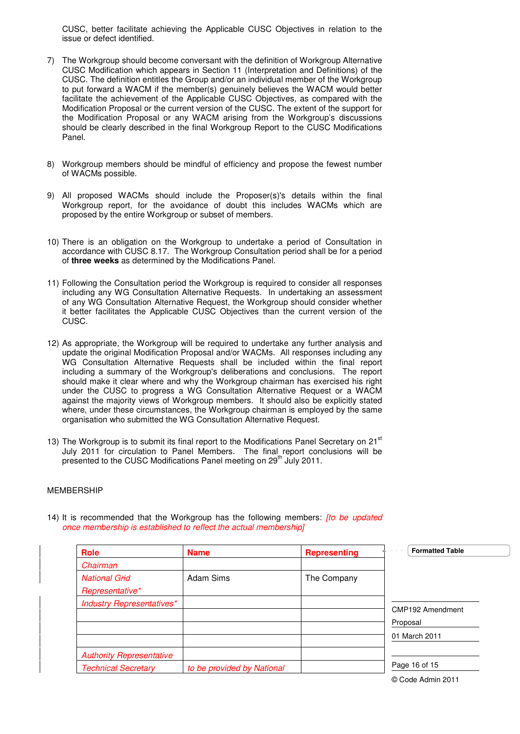CUSC, better facilitate achieving the Applicable CUSC Objectives in relation to the issue or defect identified.

- 7) The Workgroup should become conversant with the definition of Workgroup Alternative CUSC Modification which appears in Section 11 (Interpretation and Definitions) of the CUSC. The definition entitles the Group and/or an individual member of the Workgroup to put forward a WACM if the member(s) genuinely believes the WACM would better facilitate the achievement of the Applicable CUSC Objectives, as compared with the Modification Proposal or the current version of the CUSC. The extent of the support for the Modification Proposal or any WACM arising from the Workgroup's discussions should be clearly described in the final Workgroup Report to the CUSC Modifications Panel.
- 8) Workgroup members should be mindful of efficiency and propose the fewest number of WACMs possible.
- 9) All proposed WACMs should include the Proposer(s)'s details within the final Workgroup report, for the avoidance of doubt this includes WACMs which are proposed by the entire Workgroup or subset of members.
- 10) There is an obligation on the Workgroup to undertake a period of Consultation in accordance with CUSC 8.17. The Workgroup Consultation period shall be for a period of **three weeks** as determined by the Modifications Panel.
- 11) Following the Consultation period the Workgroup is required to consider all responses including any WG Consultation Alternative Requests. In undertaking an assessment of any WG Consultation Alternative Request, the Workgroup should consider whether it better facilitates the Applicable CUSC Objectives than the current version of the CUSC.
- 12) As appropriate, the Workgroup will be required to undertake any further analysis and update the original Modification Proposal and/or WACMs. All responses including any WG Consultation Alternative Requests shall be included within the final report including a summary of the Workgroup's deliberations and conclusions. The report should make it clear where and why the Workgroup chairman has exercised his right under the CUSC to progress a WG Consultation Alternative Request or a WACM against the majority views of Workgroup members. It should also be explicitly stated where, under these circumstances, the Workgroup chairman is employed by the same organisation who submitted the WG Consultation Alternative Request.
- 13) The Workgroup is to submit its final report to the Modifications Panel Secretary on  $21<sup>st</sup>$ July 2011 for circulation to Panel Members. The final report conclusions will be presented to the CUSC Modifications Panel meeting on 29<sup>th</sup> July 2011.

#### MEMBERSHIP

| <b>Role</b>                      | <b>Name</b>                | <b>Representing</b> | <b>Formatted Table</b> |
|----------------------------------|----------------------------|---------------------|------------------------|
| Chairman                         |                            |                     |                        |
| <b>National Grid</b>             | Adam Sims                  | The Company         |                        |
| Representative*                  |                            |                     |                        |
| <b>Industry Representatives*</b> |                            |                     |                        |
|                                  |                            |                     | CMP192 Amendment       |
|                                  |                            |                     | Proposal               |
|                                  |                            |                     | 01 March 2011          |
| <b>Authority Representative</b>  |                            |                     |                        |
| <b>Technical Secretary</b>       | to be provided by National |                     | Page 16 of 15          |
|                                  |                            |                     |                        |

14) It is recommended that the Workgroup has the following members: *[to be updated* once membership is established to reflect the actual membership]

<sup>©</sup> Code Admin 2011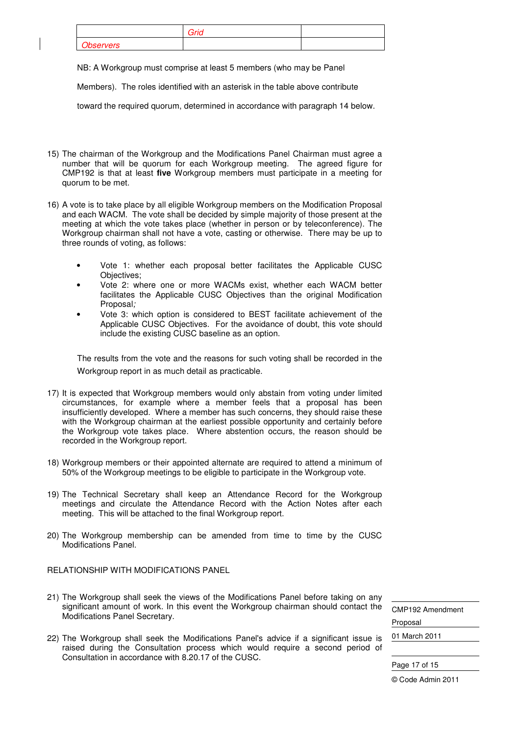|                  | Grid |  |
|------------------|------|--|
| <b>Observers</b> |      |  |

NB: A Workgroup must comprise at least 5 members (who may be Panel

Members). The roles identified with an asterisk in the table above contribute

toward the required quorum, determined in accordance with paragraph 14 below.

- 15) The chairman of the Workgroup and the Modifications Panel Chairman must agree a number that will be quorum for each Workgroup meeting. The agreed figure for CMP192 is that at least **five** Workgroup members must participate in a meeting for quorum to be met.
- 16) A vote is to take place by all eligible Workgroup members on the Modification Proposal and each WACM. The vote shall be decided by simple majority of those present at the meeting at which the vote takes place (whether in person or by teleconference). The Workgroup chairman shall not have a vote, casting or otherwise. There may be up to three rounds of voting, as follows:
	- Vote 1: whether each proposal better facilitates the Applicable CUSC Objectives;
	- Vote 2: where one or more WACMs exist, whether each WACM better facilitates the Applicable CUSC Objectives than the original Modification Proposal;
	- Vote 3: which option is considered to BEST facilitate achievement of the Applicable CUSC Objectives. For the avoidance of doubt, this vote should include the existing CUSC baseline as an option.

The results from the vote and the reasons for such voting shall be recorded in the Workgroup report in as much detail as practicable.

- 17) It is expected that Workgroup members would only abstain from voting under limited circumstances, for example where a member feels that a proposal has been insufficiently developed. Where a member has such concerns, they should raise these with the Workgroup chairman at the earliest possible opportunity and certainly before the Workgroup vote takes place. Where abstention occurs, the reason should be recorded in the Workgroup report.
- 18) Workgroup members or their appointed alternate are required to attend a minimum of 50% of the Workgroup meetings to be eligible to participate in the Workgroup vote.
- 19) The Technical Secretary shall keep an Attendance Record for the Workgroup meetings and circulate the Attendance Record with the Action Notes after each meeting. This will be attached to the final Workgroup report.
- 20) The Workgroup membership can be amended from time to time by the CUSC Modifications Panel.
- RELATIONSHIP WITH MODIFICATIONS PANEL
- 21) The Workgroup shall seek the views of the Modifications Panel before taking on any significant amount of work. In this event the Workgroup chairman should contact the Modifications Panel Secretary.
- 22) The Workgroup shall seek the Modifications Panel's advice if a significant issue is raised during the Consultation process which would require a second period of Consultation in accordance with 8.20.17 of the CUSC.

CMP192 Amendment Proposal 01 March 2011

Page 17 of 15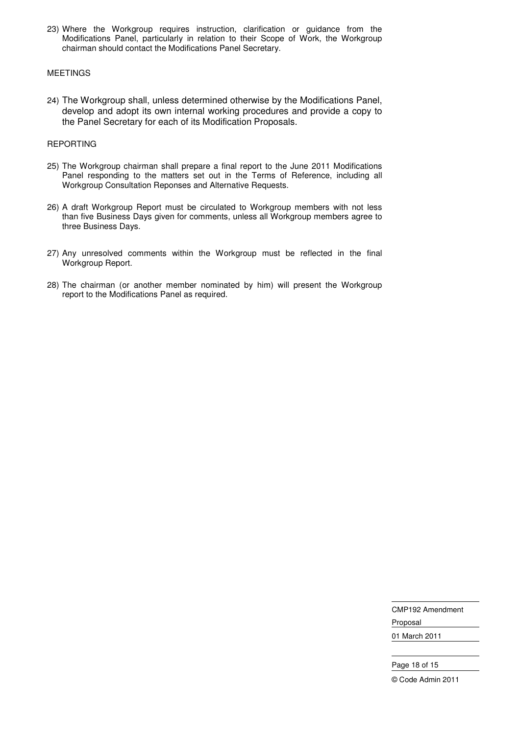23) Where the Workgroup requires instruction, clarification or guidance from the Modifications Panel, particularly in relation to their Scope of Work, the Workgroup chairman should contact the Modifications Panel Secretary.

#### MEETINGS

24) The Workgroup shall, unless determined otherwise by the Modifications Panel, develop and adopt its own internal working procedures and provide a copy to the Panel Secretary for each of its Modification Proposals.

#### REPORTING

- 25) The Workgroup chairman shall prepare a final report to the June 2011 Modifications Panel responding to the matters set out in the Terms of Reference, including all Workgroup Consultation Reponses and Alternative Requests.
- 26) A draft Workgroup Report must be circulated to Workgroup members with not less than five Business Days given for comments, unless all Workgroup members agree to three Business Days.
- 27) Any unresolved comments within the Workgroup must be reflected in the final Workgroup Report.
- 28) The chairman (or another member nominated by him) will present the Workgroup report to the Modifications Panel as required.

CMP192 Amendment Proposal 01 March 2011

Page 18 of 15